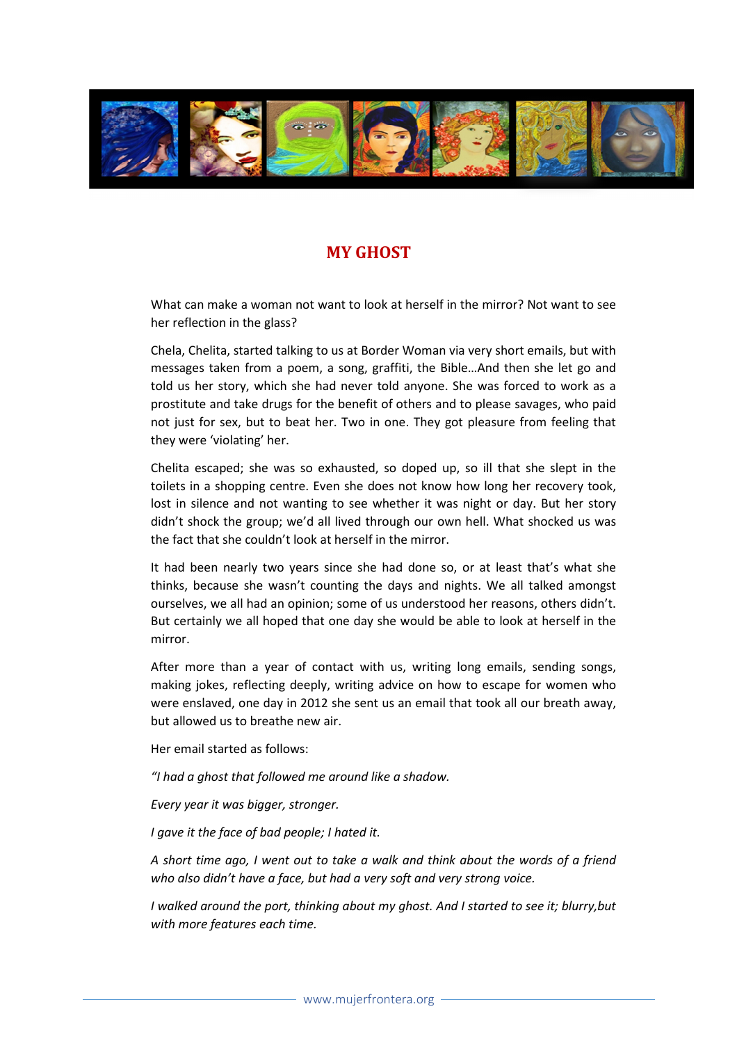

## MY GHOST

What can make a woman not want to look at herself in the mirror? Not want to see her reflection in the glass?

Chela, Chelita, started talking to us at Border Woman via very short emails, but with messages taken from a poem, a song, graffiti, the Bible…And then she let go and told us her story, which she had never told anyone. She was forced to work as a prostitute and take drugs for the benefit of others and to please savages, who paid not just for sex, but to beat her. Two in one. They got pleasure from feeling that they were 'violating' her.

Chelita escaped; she was so exhausted, so doped up, so ill that she slept in the toilets in a shopping centre. Even she does not know how long her recovery took, lost in silence and not wanting to see whether it was night or day. But her story didn't shock the group; we'd all lived through our own hell. What shocked us was the fact that she couldn't look at herself in the mirror.

It had been nearly two years since she had done so, or at least that's what she thinks, because she wasn't counting the days and nights. We all talked amongst ourselves, we all had an opinion; some of us understood her reasons, others didn't. But certainly we all hoped that one day she would be able to look at herself in the mirror.

After more than a year of contact with us, writing long emails, sending songs, making jokes, reflecting deeply, writing advice on how to escape for women who were enslaved, one day in 2012 she sent us an email that took all our breath away, but allowed us to breathe new air.

Her email started as follows:

"I had a ghost that followed me around like a shadow.

Every year it was bigger, stronger.

I gave it the face of bad people; I hated it.

A short time ago, I went out to take a walk and think about the words of a friend who also didn't have a face, but had a very soft and very strong voice.

I walked around the port, thinking about my ghost. And I started to see it; blurry,but with more features each time.